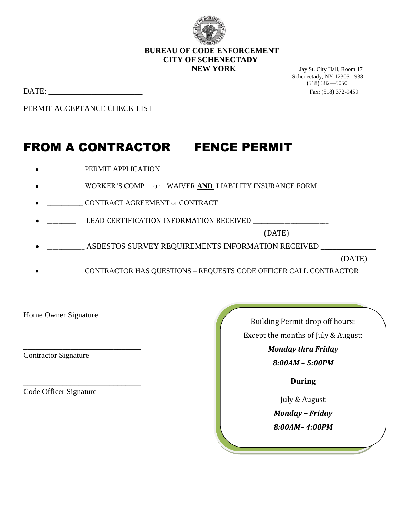

## **BUREAU OF CODE ENFORCEMENT CITY OF SCHENECTADY NEW YORK** Jay St. City Hall, Room 17

 Schenectady, NY 12305-1938 (518) 382—5050

 $DATE:$  Fax: (518) 372-9459

PERMIT ACCEPTANCE CHECK LIST

## FROM A CONTRACTOR FENCE PERMIT

- PERMIT APPLICATION
- \_\_\_\_\_\_\_\_\_\_ WORKER'S COMP or WAIVER **AND** LIABILITY INSURANCE FORM
- \_\_\_\_\_\_\_\_\_\_ CONTRACT AGREEMENT or CONTRACT
- \_\_\_\_\_\_\_\_\_\_ LEAD CERTIFICATION INFORMATION RECEIVED \_\_\_\_\_\_\_\_\_\_\_\_\_\_\_\_\_\_\_\_\_\_\_\_\_\_

(DATE)

\_\_\_\_\_\_\_\_\_\_\_\_\_ ASBESTOS SURVEY REQUIREMENTS INFORMATION RECEIVED \_\_\_\_\_\_\_\_\_\_\_\_\_\_

(DATE)

\_\_\_\_\_\_\_\_\_\_ CONTRACTOR HAS QUESTIONS – REQUESTS CODE OFFICER CALL CONTRACTOR

Home Owner Signature

\_\_\_\_\_\_\_\_\_\_\_\_\_\_\_\_\_\_\_\_\_\_\_\_\_\_\_\_\_\_

\_\_\_\_\_\_\_\_\_\_\_\_\_\_\_\_\_\_\_\_\_\_\_\_\_\_\_\_\_\_

\_\_\_\_\_\_\_\_\_\_\_\_\_\_\_\_\_\_\_\_\_\_\_\_\_\_\_\_\_\_

Contractor Signature

Code Officer Signature

Building Permit drop off hours: Except the months of July & August: *Monday thru Friday 8:00AM – 5:00PM* **During**

> July & August *Monday – Friday 8:00AM– 4:00PM*

> > l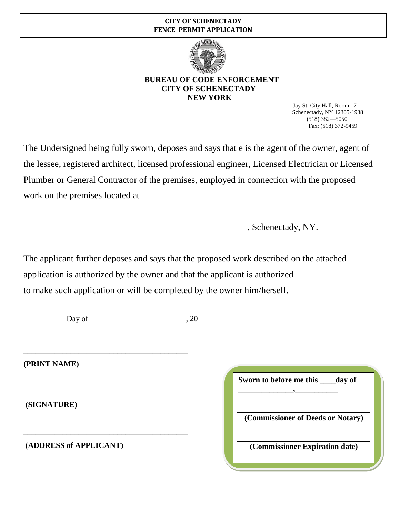## **CITY OF SCHENECTADY FENCE PERMIT APPLICATION**



## **BUREAU OF CODE ENFORCEMENT CITY OF SCHENECTADY NEW YORK**

Jay St. City Hall, Room 17 Schenectady, NY 12305-1938 (518) 382—5050 Fax: (518) 372-9459

The Undersigned being fully sworn, deposes and says that e is the agent of the owner, agent of the lessee, registered architect, licensed professional engineer, Licensed Electrician or Licensed Plumber or General Contractor of the premises, employed in connection with the proposed work on the premises located at

\_\_\_\_\_\_\_\_\_\_\_\_\_\_\_\_\_\_\_\_\_\_\_\_\_\_\_\_\_\_\_\_\_\_\_\_\_\_\_\_\_\_\_\_\_\_\_\_\_, Schenectady, NY.

The applicant further deposes and says that the proposed work described on the attached application is authorized by the owner and that the applicant is authorized to make such application or will be completed by the owner him/herself.

\_\_\_\_\_\_\_\_\_\_\_Day of\_\_\_\_\_\_\_\_\_\_\_\_\_\_\_\_\_\_\_\_\_\_\_\_\_, 20\_\_\_\_\_\_

\_\_\_\_\_\_\_\_\_\_\_\_\_\_\_\_\_\_\_\_\_\_\_\_\_\_\_\_\_\_\_\_\_\_\_\_\_\_\_\_\_\_

\_\_\_\_\_\_\_\_\_\_\_\_\_\_\_\_\_\_\_\_\_\_\_\_\_\_\_\_\_\_\_\_\_\_\_\_\_\_\_\_\_\_

\_\_\_\_\_\_\_\_\_\_\_\_\_\_\_\_\_\_\_\_\_\_\_\_\_\_\_\_\_\_\_\_\_\_\_\_\_\_\_\_\_\_

**(PRINT NAME)**

**(SIGNATURE)**

**(ADDRESS of APPLICANT)**

| Sworn to before me this _____ day of |
|--------------------------------------|
|                                      |
| (Commissioner of Deeds or Notary)    |
|                                      |
| (Commissioner Expiration date)       |
|                                      |